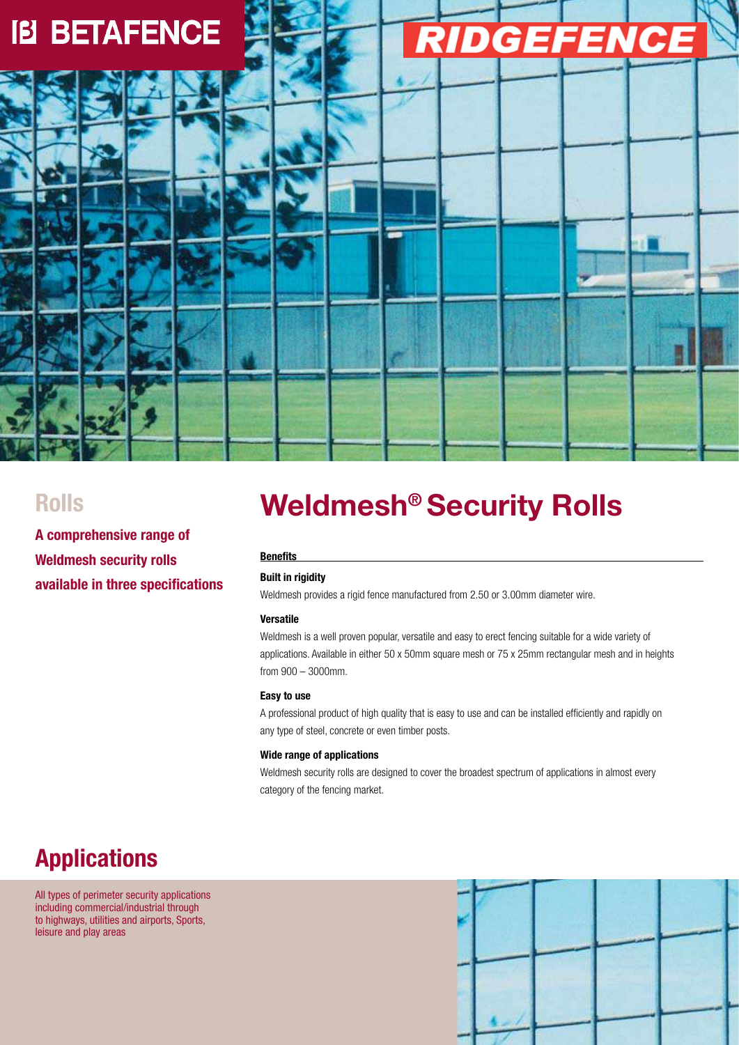

**A comprehensive range of Weldmesh security rolls available in three specifications** 

# **Rolls 6 Meldmesh<sup>®</sup> Security Rolls**

#### **Benefits**

### **Built in rigidity**

Weldmesh provides a rigid fence manufactured from 2.50 or 3.00mm diameter wire.

#### **Versatile**

Weldmesh is a well proven popular, versatile and easy to erect fencing suitable for a wide variety of applications. Available in either 50 x 50mm square mesh or 75 x 25mm rectangular mesh and in heights from 900 – 3000mm.

#### **Easy to use**

A professional product of high quality that is easy to use and can be installed efficiently and rapidly on any type of steel, concrete or even timber posts.

#### **Wide range of applications**

Weldmesh security rolls are designed to cover the broadest spectrum of applications in almost every category of the fencing market.

## **Applications**

All types of perimeter security applications including commercial/industrial through to highways, utilities and airports, Sports, leisure and play areas